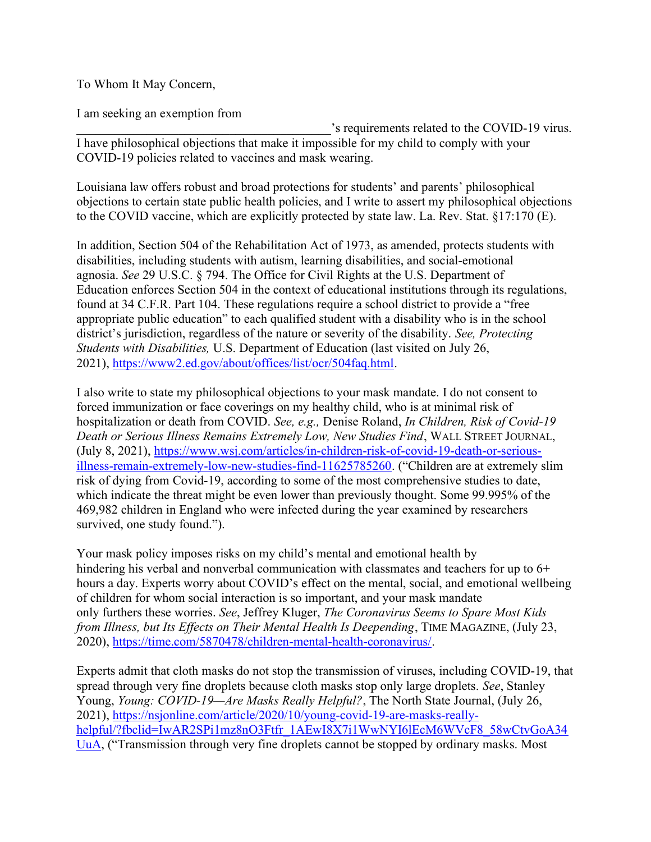To Whom It May Concern,

I am seeking an exemption from

's requirements related to the COVID-19 virus. I have philosophical objections that make it impossible for my child to comply with your COVID-19 policies related to vaccines and mask wearing.

Louisiana law offers robust and broad protections for students' and parents' philosophical objections to certain state public health policies, and I write to assert my philosophical objections to the COVID vaccine, which are explicitly protected by state law. La. Rev. Stat. §17:170 (E).

In addition, Section 504 of the Rehabilitation Act of 1973, as amended, protects students with disabilities, including students with autism, learning disabilities, and social-emotional agnosia. See 29 U.S.C. § 794. The Office for Civil Rights at the U.S. Department of Education enforces Section 504 in the context of educational institutions through its regulations, found at 34 C.F.R. Part 104. These regulations require a school district to provide a "free appropriate public education" to each qualified student with a disability who is in the school district's jurisdiction, regardless of the nature or severity of the disability. See, Protecting Students with Disabilities, U.S. Department of Education (last visited on July 26, 2021), https://www2.ed.gov/about/offices/list/ocr/504faq.html.

I also write to state my philosophical objections to your mask mandate. I do not consent to forced immunization or face coverings on my healthy child, who is at minimal risk of hospitalization or death from COVID. See, e.g., Denise Roland, In Children, Risk of Covid-19 Death or Serious Illness Remains Extremely Low, New Studies Find, WALL STREET JOURNAL, (July 8, 2021), https://www.wsj.com/articles/in-children-risk-of-covid-19-death-or-seriousillness-remain-extremely-low-new-studies-find-11625785260. ("Children are at extremely slim risk of dying from Covid-19, according to some of the most comprehensive studies to date, which indicate the threat might be even lower than previously thought. Some 99.995% of the 469,982 children in England who were infected during the year examined by researchers survived, one study found.").

Your mask policy imposes risks on my child's mental and emotional health by hindering his verbal and nonverbal communication with classmates and teachers for up to 6+ hours a day. Experts worry about COVID's effect on the mental, social, and emotional wellbeing of children for whom social interaction is so important, and your mask mandate only furthers these worries. See, Jeffrey Kluger, The Coronavirus Seems to Spare Most Kids from Illness, but Its Effects on Their Mental Health Is Deepending, TIME MAGAZINE, (July 23, 2020), https://time.com/5870478/children-mental-health-coronavirus/.

Experts admit that cloth masks do not stop the transmission of viruses, including COVID-19, that spread through very fine droplets because cloth masks stop only large droplets. See, Stanley Young, Young: COVID-19—Are Masks Really Helpful?, The North State Journal, (July 26, 2021), https://nsjonline.com/article/2020/10/young-covid-19-are-masks-reallyhelpful/?fbclid=IwAR2SPi1mz8nO3Ftfr\_1AEwI8X7i1WwNYI6lEcM6WVcF8\_58wCtvGoA34 UuA, ("Transmission through very fine droplets cannot be stopped by ordinary masks. Most